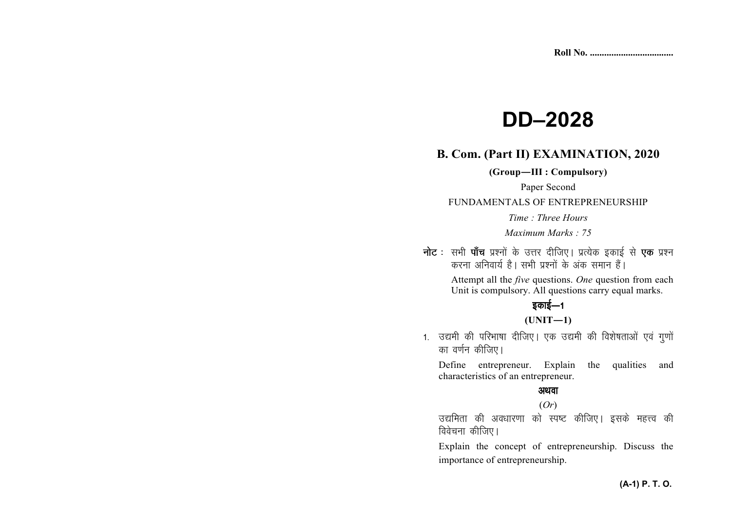# **DD–2028**

## **B. Com. (Part II) EXAMINATION, 2020**

**(Group—III : Compulsory)** 

Paper Second

#### FUNDAMENTALS OF ENTREPRENEURSHIP

*Time : Three Hours* 

*Maximum Marks : 75*

**नोट** : सभी **पाँच** प्रश्नों के उत्तर दीजिए। प्रत्येक इकाई से **एक** प्रश्न *djuk vfuok;Z gSA lHkh iz'uksa d¢ vad leku gSaA* 

> Attempt all the *five* questions. *One* question from each Unit is compulsory. All questions carry equal marks.

## <u>5काई—1</u>

#### **(UNIT—1)**

1. उद्यमी की परिभाषा दीजिए। एक उद्यमी की विशेषताओं एवं गुणों *का* वर्णन कीजिए।

Define entrepreneur. Explain the qualities and characteristics of an entrepreneur.

## अथवा

## (*Or*)

*m|ferk dh vo/kkj.kk dks Li"V dhft,A blds egŸo dh* <u>विवेचना कीजिए।</u>

Explain the concept of entrepreneurship. Discuss the importance of entrepreneurship.